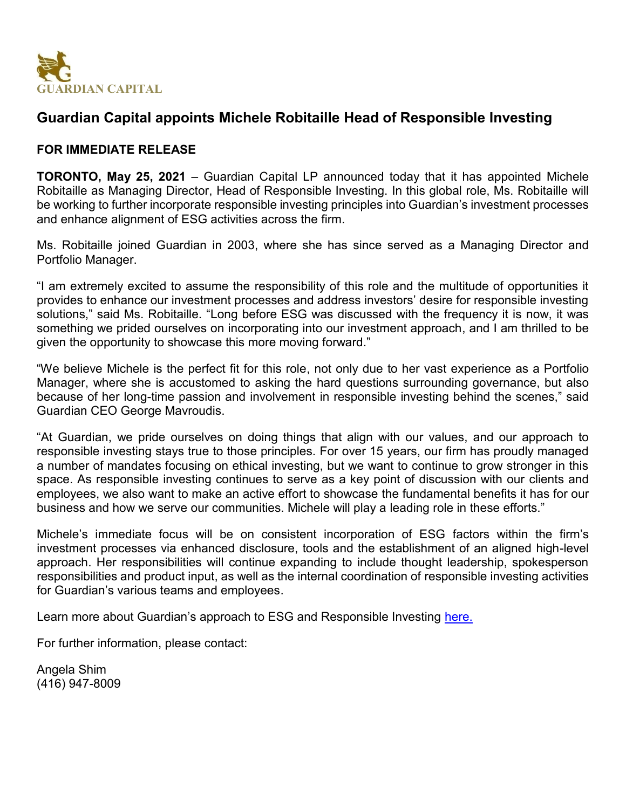

## **Guardian Capital appoints Michele Robitaille Head of Responsible Investing**

## **FOR IMMEDIATE RELEASE**

**TORONTO, May 25, 2021** – Guardian Capital LP announced today that it has appointed Michele Robitaille as Managing Director, Head of Responsible Investing. In this global role, Ms. Robitaille will be working to further incorporate responsible investing principles into Guardian's investment processes and enhance alignment of ESG activities across the firm.

Ms. Robitaille joined Guardian in 2003, where she has since served as a Managing Director and Portfolio Manager.

"I am extremely excited to assume the responsibility of this role and the multitude of opportunities it provides to enhance our investment processes and address investors' desire for responsible investing solutions," said Ms. Robitaille. "Long before ESG was discussed with the frequency it is now, it was something we prided ourselves on incorporating into our investment approach, and I am thrilled to be given the opportunity to showcase this more moving forward."

"We believe Michele is the perfect fit for this role, not only due to her vast experience as a Portfolio Manager, where she is accustomed to asking the hard questions surrounding governance, but also because of her long-time passion and involvement in responsible investing behind the scenes," said Guardian CEO George Mavroudis.

"At Guardian, we pride ourselves on doing things that align with our values, and our approach to responsible investing stays true to those principles. For over 15 years, our firm has proudly managed a number of mandates focusing on ethical investing, but we want to continue to grow stronger in this space. As responsible investing continues to serve as a key point of discussion with our clients and employees, we also want to make an active effort to showcase the fundamental benefits it has for our business and how we serve our communities. Michele will play a leading role in these efforts."

Michele's immediate focus will be on consistent incorporation of ESG factors within the firm's investment processes via enhanced disclosure, tools and the establishment of an aligned high-level approach. Her responsibilities will continue expanding to include thought leadership, spokesperson responsibilities and product input, as well as the internal coordination of responsible investing activities for Guardian's various teams and employees.

Learn more about Guardian's approach to ESG and Responsible Investing [here.](https://guardiancapital.com/institutional-investment-management/responsible-investing)

For further information, please contact:

Angela Shim (416) 947-8009